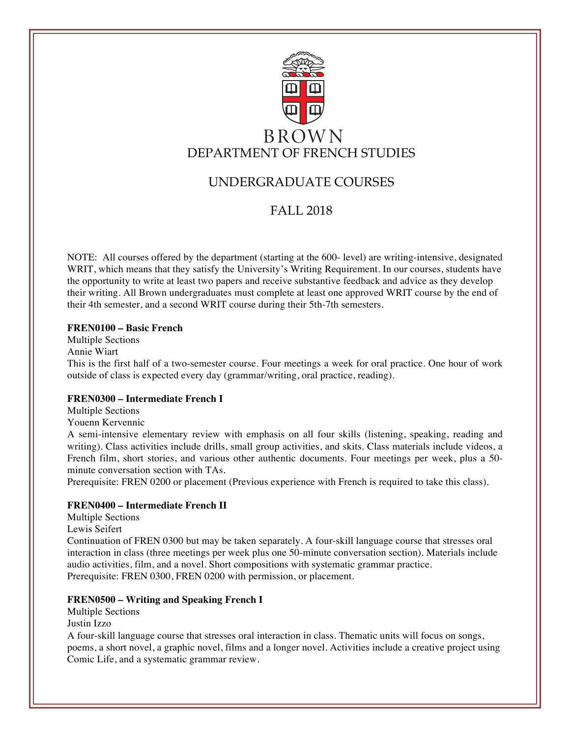

# UNDERGRADUATE COURSES

## FALL 2018

NOTE: All courses offered by the department (starting at the 600- level) are writing-intensive, designated WRIT, which means that they satisfy the University's Writing Requirement. In our courses, students have the opportunity to write at least two papers and receive substantive feedback and advice as they develop their writing. All Brown undergraduates must complete at least one approved WRIT course by the end of their 4th semester, and a second WRIT course during their 5th-7th semesters.

## **FREN0100 – Basic French**

Multiple Sections Annie Wiart This is the first half of a two-semester course. Four meetings a week for oral practice. One hour of work outside of class is expected every day (grammar/writing, oral practice, reading).

## **FREN0300 – Intermediate French I**

Multiple Sections

Youenn Kervennic

A semi-intensive elementary review with emphasis on all four skills (listening, speaking, reading and writing). Class activities include drills, small group activities, and skits. Class materials include videos, a French film, short stories, and various other authentic documents. Four meetings per week, plus a 50 minute conversation section with TAs.

Prerequisite: FREN 0200 or placement (Previous experience with French is required to take this class).

## **FREN0400 – Intermediate French II**

Multiple Sections

Lewis Seifert

Continuation of FREN 0300 but may be taken separately. A four-skill language course that stresses oral interaction in class (three meetings per week plus one 50-minute conversation section). Materials include audio activities, film, and a novel. Short compositions with systematic grammar practice. Prerequisite: FREN 0300, FREN 0200 with permission, or placement.

## **FREN0500 – Writing and Speaking French I**

Multiple Sections Justin Izzo

A four-skill language course that stresses oral interaction in class. Thematic units will focus on songs, poems, a short novel, a graphic novel, films and a longer novel. Activities include a creative project using Comic Life, and a systematic grammar review.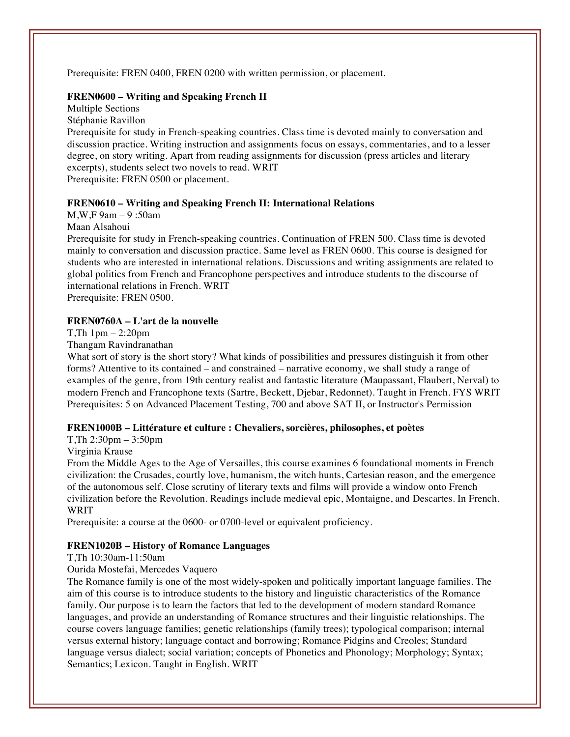Prerequisite: FREN 0400, FREN 0200 with written permission, or placement.

## **FREN0600 – Writing and Speaking French II**

Multiple Sections Stéphanie Ravillon

Prerequisite for study in French-speaking countries. Class time is devoted mainly to conversation and discussion practice. Writing instruction and assignments focus on essays, commentaries, and to a lesser degree, on story writing. Apart from reading assignments for discussion (press articles and literary excerpts), students select two novels to read. WRIT Prerequisite: FREN 0500 or placement.

### **FREN0610 – Writing and Speaking French II: International Relations**

M,W,F 9am – 9 :50am

Maan Alsahoui

Prerequisite for study in French-speaking countries. Continuation of FREN 500. Class time is devoted mainly to conversation and discussion practice. Same level as FREN 0600. This course is designed for students who are interested in international relations. Discussions and writing assignments are related to global politics from French and Francophone perspectives and introduce students to the discourse of international relations in French. WRIT

Prerequisite: FREN 0500.

### **FREN0760A – L'art de la nouvelle**

T,Th 1pm – 2:20pm

Thangam Ravindranathan

What sort of story is the short story? What kinds of possibilities and pressures distinguish it from other forms? Attentive to its contained – and constrained – narrative economy, we shall study a range of examples of the genre, from 19th century realist and fantastic literature (Maupassant, Flaubert, Nerval) to modern French and Francophone texts (Sartre, Beckett, Djebar, Redonnet). Taught in French. FYS WRIT Prerequisites: 5 on Advanced Placement Testing, 700 and above SAT II, or Instructor's Permission

## **FREN1000B – Littérature et culture : Chevaliers, sorcières, philosophes, et poètes**

### T,Th 2:30pm – 3:50pm

Virginia Krause

From the Middle Ages to the Age of Versailles, this course examines 6 foundational moments in French civilization: the Crusades, courtly love, humanism, the witch hunts, Cartesian reason, and the emergence of the autonomous self. Close scrutiny of literary texts and films will provide a window onto French civilization before the Revolution. Readings include medieval epic, Montaigne, and Descartes. In French. WRIT

Prerequisite: a course at the 0600- or 0700-level or equivalent proficiency.

## **FREN1020B – History of Romance Languages**

T,Th 10:30am-11:50am

## Ourida Mostefai, Mercedes Vaquero

The Romance family is one of the most widely-spoken and politically important language families. The aim of this course is to introduce students to the history and linguistic characteristics of the Romance family. Our purpose is to learn the factors that led to the development of modern standard Romance languages, and provide an understanding of Romance structures and their linguistic relationships. The course covers language families; genetic relationships (family trees); typological comparison; internal versus external history; language contact and borrowing; Romance Pidgins and Creoles; Standard language versus dialect; social variation; concepts of Phonetics and Phonology; Morphology; Syntax; Semantics; Lexicon. Taught in English. WRIT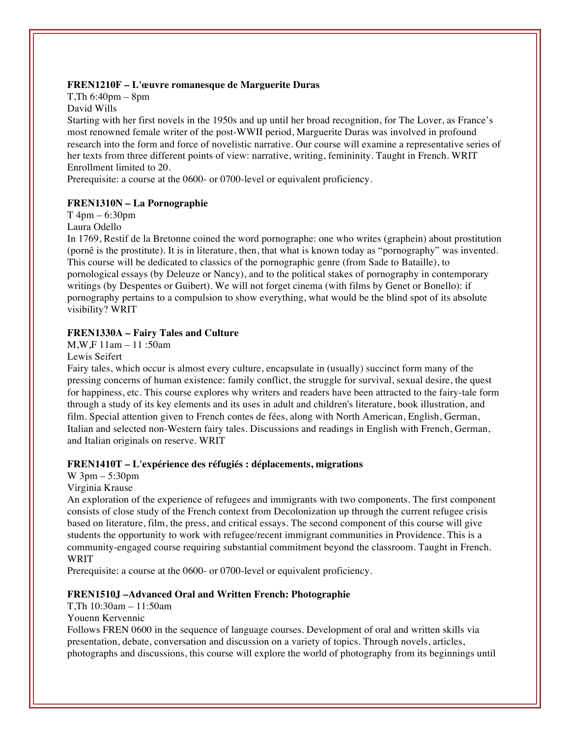## **FREN1210F – L'œuvre romanesque de Marguerite Duras**

T,Th 6:40pm – 8pm David Wills

Starting with her first novels in the 1950s and up until her broad recognition, for The Lover, as France's most renowned female writer of the post-WWII period, Marguerite Duras was involved in profound research into the form and force of novelistic narrative. Our course will examine a representative series of her texts from three different points of view: narrative, writing, femininity. Taught in French. WRIT Enrollment limited to 20.

Prerequisite: a course at the 0600- or 0700-level or equivalent proficiency.

### **FREN1310N – La Pornographie**

T 4pm – 6:30pm

Laura Odello

In 1769, Restif de la Bretonne coined the word pornographe: one who writes (graphein) about prostitution (pornê is the prostitute). It is in literature, then, that what is known today as "pornography" was invented. This course will be dedicated to classics of the pornographic genre (from Sade to Bataille), to pornological essays (by Deleuze or Nancy), and to the political stakes of pornography in contemporary writings (by Despentes or Guibert). We will not forget cinema (with films by Genet or Bonello): if pornography pertains to a compulsion to show everything, what would be the blind spot of its absolute visibility? WRIT

#### **FREN1330A – Fairy Tales and Culture**

M,W,F 11am – 11 :50am

Lewis Seifert

Fairy tales, which occur is almost every culture, encapsulate in (usually) succinct form many of the pressing concerns of human existence: family conflict, the struggle for survival, sexual desire, the quest for happiness, etc. This course explores why writers and readers have been attracted to the fairy-tale form through a study of its key elements and its uses in adult and children's literature, book illustration, and film. Special attention given to French contes de fées, along with North American, English, German, Italian and selected non-Western fairy tales. Discussions and readings in English with French, German, and Italian originals on reserve. WRIT

#### **FREN1410T – L'expérience des réfugiés : déplacements, migrations**

W 3pm – 5:30pm

#### Virginia Krause

An exploration of the experience of refugees and immigrants with two components. The first component consists of close study of the French context from Decolonization up through the current refugee crisis based on literature, film, the press, and critical essays. The second component of this course will give students the opportunity to work with refugee/recent immigrant communities in Providence. This is a community-engaged course requiring substantial commitment beyond the classroom. Taught in French. **WRIT** 

Prerequisite: a course at the 0600- or 0700-level or equivalent proficiency.

#### **FREN1510J –Advanced Oral and Written French: Photographie**

 $T Th 10:30am - 11:50am$ 

Youenn Kervennic

Follows FREN 0600 in the sequence of language courses. Development of oral and written skills via presentation, debate, conversation and discussion on a variety of topics. Through novels, articles, photographs and discussions, this course will explore the world of photography from its beginnings until